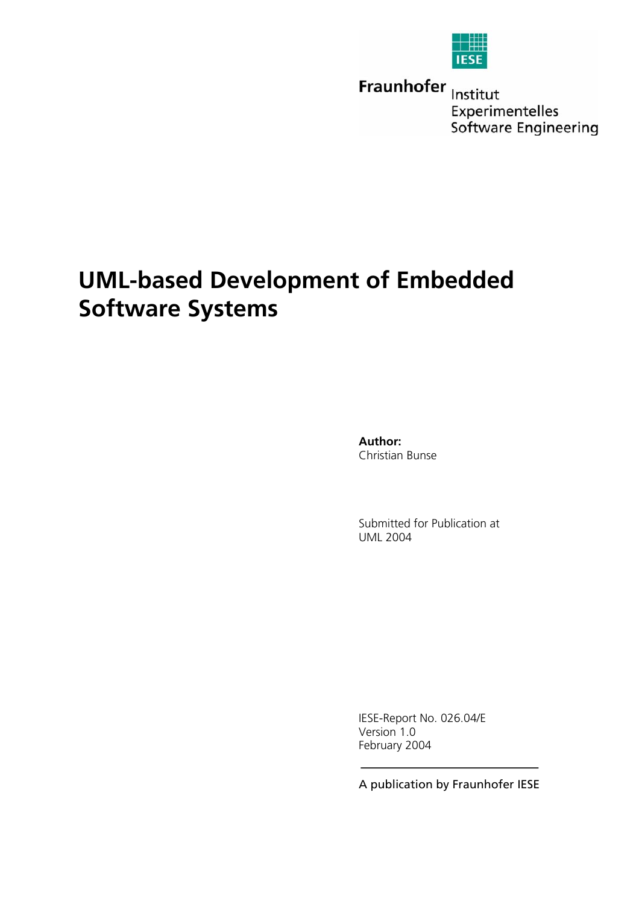| î |  |  |
|---|--|--|
|   |  |  |

Fraunhofer Institut Experimentelles Software Engineering

# **UML-based Development of Embedded Software Systems**

**Author:** Christian Bunse

Submitted for Publication at UML 2004

IESE-Report No. 026.04/E Version 1.0 February 2004

A publication by Fraunhofer IESE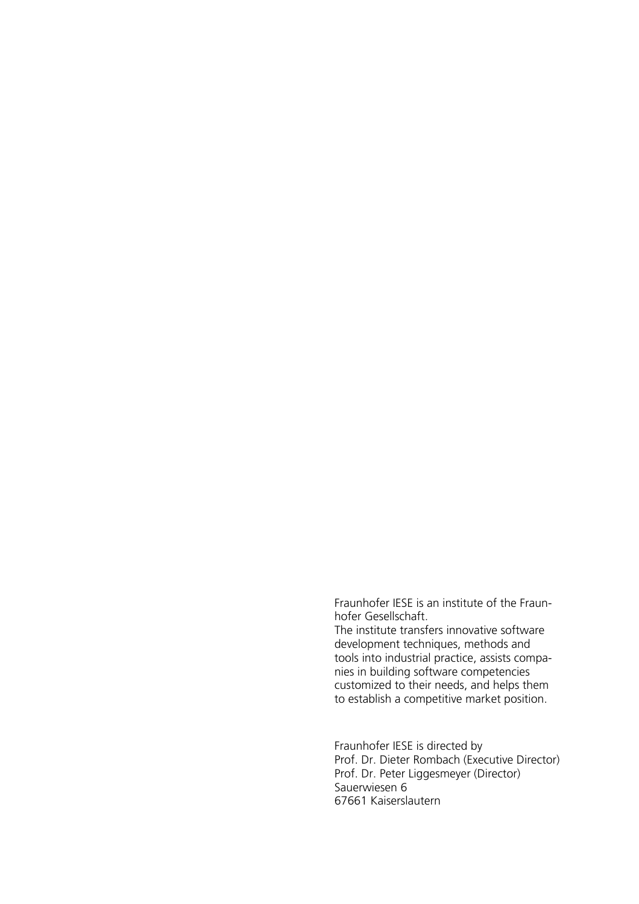Fraunhofer IESE is an institute of the Fraunhofer Gesellschaft.

The institute transfers innovative software development techniques, methods and tools into industrial practice, assists companies in building software competencies customized to their needs, and helps them to establish a competitive market position.

Fraunhofer IESE is directed by Prof. Dr. Dieter Rombach (Executive Director) Prof. Dr. Peter Liggesmeyer (Director) Sauerwiesen 6 67661 Kaiserslautern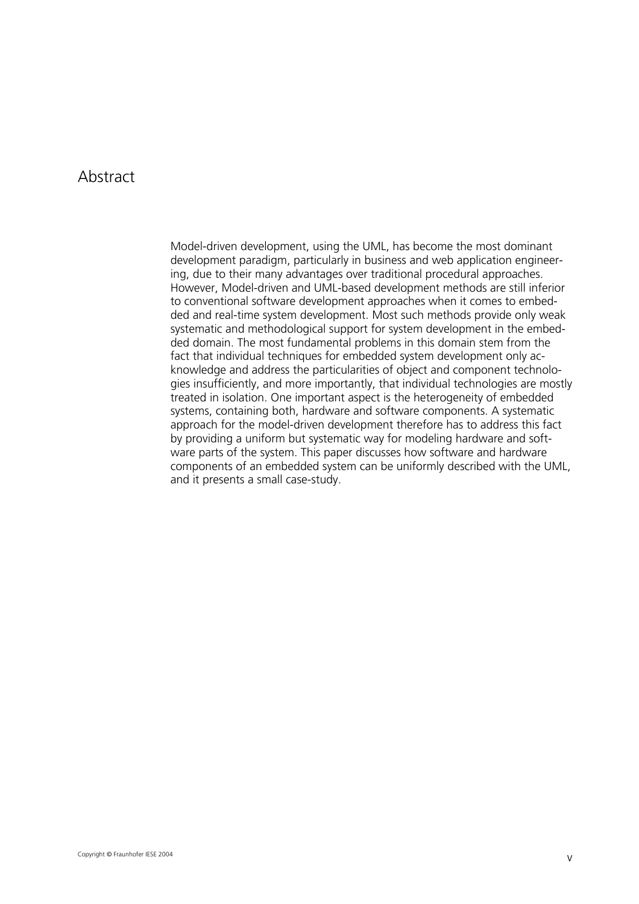## Abstract

Model-driven development, using the UML, has become the most dominant development paradigm, particularly in business and web application engineering, due to their many advantages over traditional procedural approaches. However, Model-driven and UML-based development methods are still inferior to conventional software development approaches when it comes to embedded and real-time system development. Most such methods provide only weak systematic and methodological support for system development in the embedded domain. The most fundamental problems in this domain stem from the fact that individual techniques for embedded system development only acknowledge and address the particularities of object and component technologies insufficiently, and more importantly, that individual technologies are mostly treated in isolation. One important aspect is the heterogeneity of embedded systems, containing both, hardware and software components. A systematic approach for the model-driven development therefore has to address this fact by providing a uniform but systematic way for modeling hardware and software parts of the system. This paper discusses how software and hardware components of an embedded system can be uniformly described with the UML, and it presents a small case-study.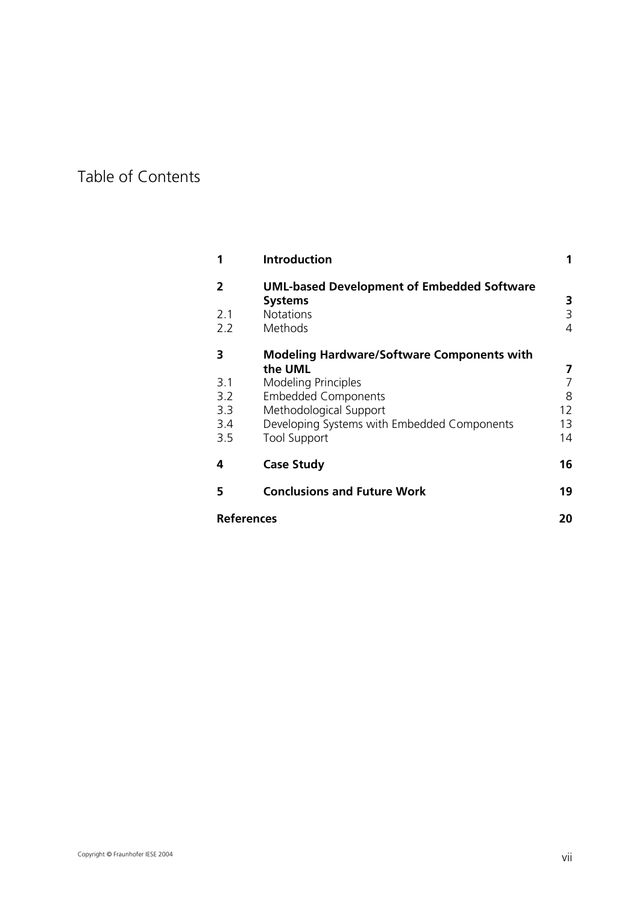## Table of Contents

| 1                 | <b>Introduction</b>                                                 | 1      |
|-------------------|---------------------------------------------------------------------|--------|
| $\mathbf{2}$      | <b>UML-based Development of Embedded Software</b><br><b>Systems</b> |        |
| 2.1               | <b>Notations</b>                                                    | 3<br>3 |
| 2.2               | Methods                                                             | 4      |
| 3                 | <b>Modeling Hardware/Software Components with</b>                   |        |
|                   | the UML                                                             | 7      |
| 3.1               | Modeling Principles                                                 | 7      |
| 3.2               | <b>Embedded Components</b>                                          | 8      |
| 3.3               | Methodological Support                                              | 12     |
| 3.4               | Developing Systems with Embedded Components                         | 13     |
| 3.5               | <b>Tool Support</b>                                                 | 14     |
| 4                 | <b>Case Study</b>                                                   | 16     |
| 5                 | <b>Conclusions and Future Work</b>                                  | 19     |
| <b>References</b> |                                                                     | 20     |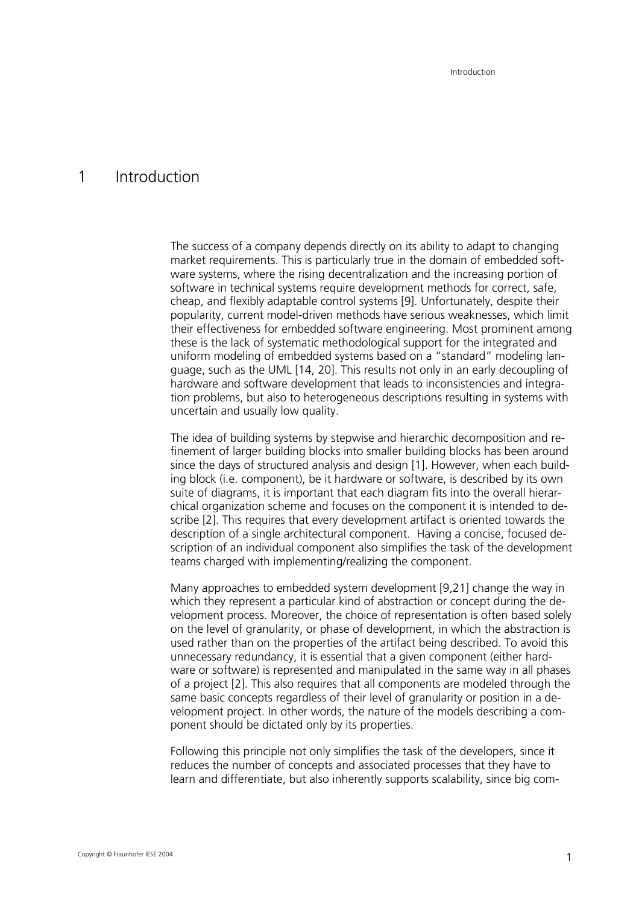## <span id="page-8-0"></span>1 Introduction

The success of a company depends directly on its ability to adapt to changing market requirements. This is particularly true in the domain of embedded software systems, where the rising decentralization and the increasing portion of software in technical systems require development methods for correct, safe, cheap, and flexibly adaptable control systems [[9\]](#page-27-1). Unfortunately, despite their popularity, current model-driven methods have serious weaknesses, which limit their effectiveness for embedded software engineering. Most prominent among these is the lack of systematic methodological support for the integrated and uniform modeling of embedded systems based on a "standard" modeling language, such as the UML [[14,](#page-28-0) [20\]](#page-28-1). This results not only in an early decoupling of hardware and software development that leads to inconsistencies and integration problems, but also to heterogeneous descriptions resulting in systems with uncertain and usually low quality.

The idea of building systems by stepwise and hierarchic decomposition and refinement of larger building blocks into smaller building blocks has been around since the days of structured analysis and design [[1\]](#page-27-2). However, when each building block (i.e. component), be it hardware or software, is described by its own suite of diagrams, it is important that each diagram fits into the overall hierarchical organization scheme and focuses on the component it is intended to describe [[2\]](#page-27-3). This requires that every development artifact is oriented towards the description of a single architectural component. Having a concise, focused description of an individual component also simplifies the task of the development teams charged with implementing/realizing the component.

Many approaches to embedded system development [[9,](#page-27-1)[21\]](#page-28-2) change the way in which they represent a particular kind of abstraction or concept during the development process. Moreover, the choice of representation is often based solely on the level of granularity, or phase of development, in which the abstraction is used rather than on the properties of the artifact being described. To avoid this unnecessary redundancy, it is essential that a given component (either hardware or software) is represented and manipulated in the same way in all phases of a project [[2\]](#page-27-3). This also requires that all components are modeled through the same basic concepts regardless of their level of granularity or position in a development project. In other words, the nature of the models describing a component should be dictated only by its properties.

Following this principle not only simplifies the task of the developers, since it reduces the number of concepts and associated processes that they have to learn and differentiate, but also inherently supports scalability, since big com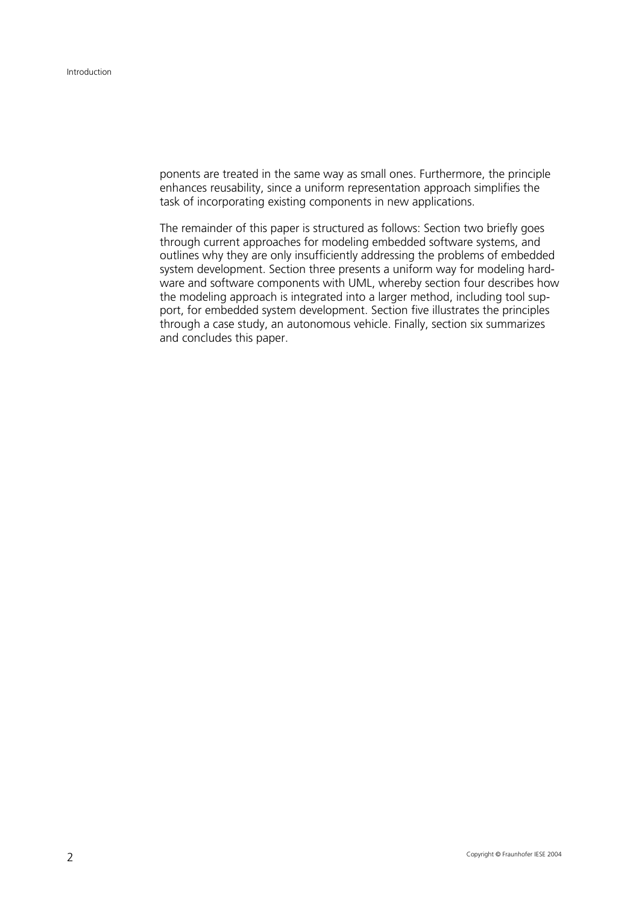ponents are treated in the same way as small ones. Furthermore, the principle enhances reusability, since a uniform representation approach simplifies the task of incorporating existing components in new applications.

The remainder of this paper is structured as follows: Section two briefly goes through current approaches for modeling embedded software systems, and outlines why they are only insufficiently addressing the problems of embedded system development. Section three presents a uniform way for modeling hardware and software components with UML, whereby section four describes how the modeling approach is integrated into a larger method, including tool support, for embedded system development. Section five illustrates the principles through a case study, an autonomous vehicle. Finally, section six summarizes and concludes this paper.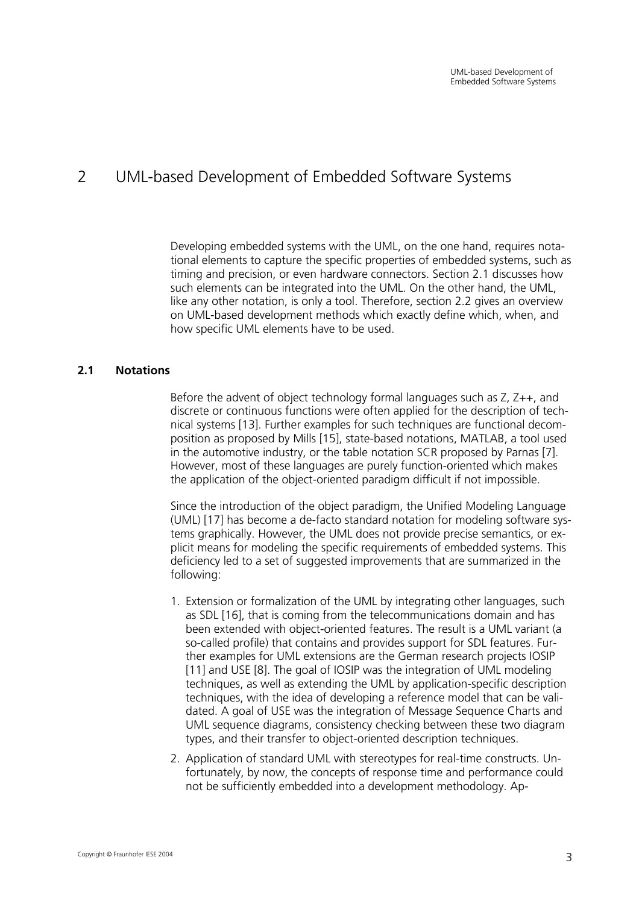## <span id="page-10-0"></span>2 UML-based Development of Embedded Software Systems

Developing embedded systems with the UML, on the one hand, requires notational elements to capture the specific properties of embedded systems, such as timing and precision, or even hardware connectors. Section 2.1 discusses how such elements can be integrated into the UML. On the other hand, the UML, like any other notation, is only a tool. Therefore, section 2.2 gives an overview on UML-based development methods which exactly define which, when, and how specific UML elements have to be used.

### **2.1 Notations**

Before the advent of object technology formal languages such as Z, Z++, and discrete or continuous functions were often applied for the description of technical systems [\[13\]](#page-27-4). Further examples for such techniques are functional decomposition as proposed by Mills [[15\]](#page-28-3), state-based notations, MATLAB, a tool used in the automotive industry, or the table notation SCR proposed by Parnas [[7\]](#page-27-5). However, most of these languages are purely function-oriented which makes the application of the object-oriented paradigm difficult if not impossible.

Since the introduction of the object paradigm, the Unified Modeling Language (UML) [[17\]](#page-28-4) has become a de-facto standard notation for modeling software systems graphically. However, the UML does not provide precise semantics, or explicit means for modeling the specific requirements of embedded systems. This deficiency led to a set of suggested improvements that are summarized in the following:

- 1. Extension or formalization of the UML by integrating other languages, such as SDL [[16\]](#page-28-5), that is coming from the telecommunications domain and has been extended with object-oriented features. The result is a UML variant (a so-called profile) that contains and provides support for SDL features. Further examples for UML extensions are the German research projects IOSIP [\[11\]](#page-27-6) and USE [[8\]](#page-27-7). The goal of IOSIP was the integration of UML modeling techniques, as well as extending the UML by application-specific description techniques, with the idea of developing a reference model that can be validated. A goal of USE was the integration of Message Sequence Charts and UML sequence diagrams, consistency checking between these two diagram types, and their transfer to object-oriented description techniques.
- 2. Application of standard UML with stereotypes for real-time constructs. Unfortunately, by now, the concepts of response time and performance could not be sufficiently embedded into a development methodology. Ap-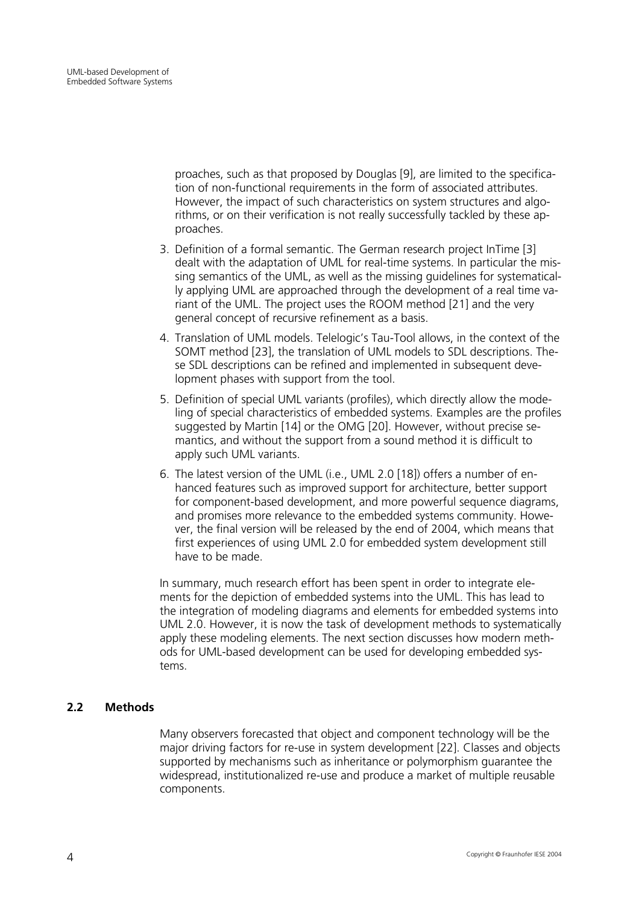<span id="page-11-0"></span>proaches, such as that proposed by Douglas [[9\]](#page-27-1), are limited to the specification of non-functional requirements in the form of associated attributes. However, the impact of such characteristics on system structures and algorithms, or on their verification is not really successfully tackled by these approaches.

- 3. Definition of a formal semantic. The German research project InTime [[3\]](#page-27-8) dealt with the adaptation of UML for real-time systems. In particular the missing semantics of the UML, as well as the missing guidelines for systematically applying UML are approached through the development of a real time variant of the UML. The project uses the ROOM method [[21\]](#page-28-2) and the very general concept of recursive refinement as a basis.
- 4. Translation of UML models. Telelogic's Tau-Tool allows, in the context of the SOMT method [[23\]](#page-28-6), the translation of UML models to SDL descriptions. These SDL descriptions can be refined and implemented in subsequent development phases with support from the tool.
- 5. Definition of special UML variants (profiles), which directly allow the modeling of special characteristics of embedded systems. Examples are the profiles suggested by Martin [[14\]](#page-28-0) or the OMG [[20\]](#page-28-1). However, without precise semantics, and without the support from a sound method it is difficult to apply such UML variants.
- 6. The latest version of the UML (i.e., UML 2.0 [[18\]](#page-28-7)) offers a number of enhanced features such as improved support for architecture, better support for component-based development, and more powerful sequence diagrams, and promises more relevance to the embedded systems community. However, the final version will be released by the end of 2004, which means that first experiences of using UML 2.0 for embedded system development still have to be made.

In summary, much research effort has been spent in order to integrate elements for the depiction of embedded systems into the UML. This has lead to the integration of modeling diagrams and elements for embedded systems into UML 2.0. However, it is now the task of development methods to systematically apply these modeling elements. The next section discusses how modern methods for UML-based development can be used for developing embedded systems.

### **2.2 Methods**

Many observers forecasted that object and component technology will be the major driving factors for re-use in system development [[22\]](#page-28-8). Classes and objects supported by mechanisms such as inheritance or polymorphism guarantee the widespread, institutionalized re-use and produce a market of multiple reusable components.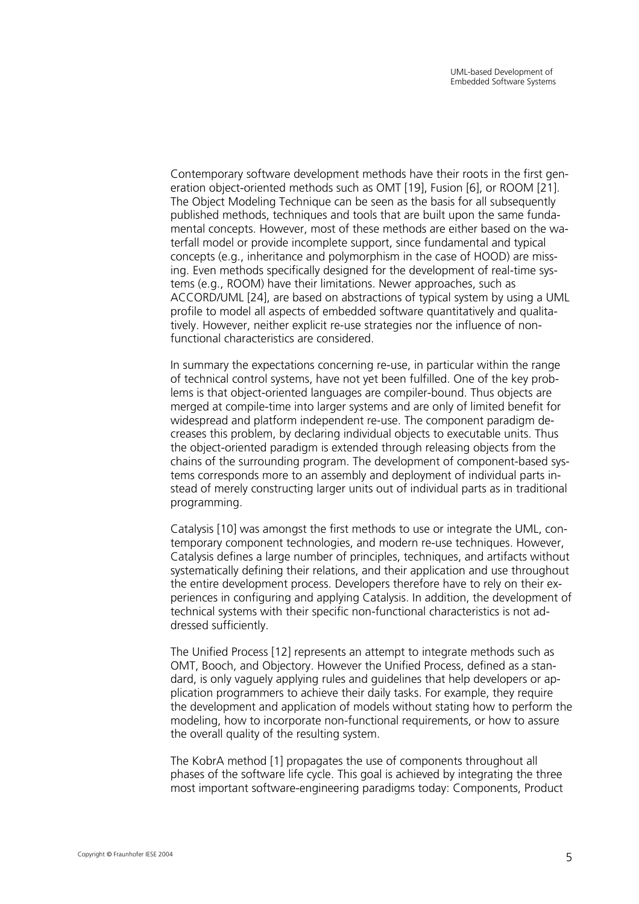Contemporary software development methods have their roots in the first generation object-oriented methods such as OMT [[19\],](#page-28-9) Fusion [[6\]](#page-27-9), or ROOM [[21\]](#page-28-2). The Object Modeling Technique can be seen as the basis for all subsequently published methods, techniques and tools that are built upon the same fundamental concepts. However, most of these methods are either based on the waterfall model or provide incomplete support, since fundamental and typical concepts (e.g., inheritance and polymorphism in the case of HOOD) are missing. Even methods specifically designed for the development of real-time systems (e.g., ROOM) have their limitations. Newer approaches, such as ACCORD/UML [[24\]](#page-28-10), are based on abstractions of typical system by using a UML profile to model all aspects of embedded software quantitatively and qualitatively. However, neither explicit re-use strategies nor the influence of nonfunctional characteristics are considered.

In summary the expectations concerning re-use, in particular within the range of technical control systems, have not yet been fulfilled. One of the key problems is that object-oriented languages are compiler-bound. Thus objects are merged at compile-time into larger systems and are only of limited benefit for widespread and platform independent re-use. The component paradigm decreases this problem, by declaring individual objects to executable units. Thus the object-oriented paradigm is extended through releasing objects from the chains of the surrounding program. The development of component-based systems corresponds more to an assembly and deployment of individual parts instead of merely constructing larger units out of individual parts as in traditional programming.

Catalysis [[10\]](#page-27-10) was amongst the first methods to use or integrate the UML, contemporary component technologies, and modern re-use techniques. However, Catalysis defines a large number of principles, techniques, and artifacts without systematically defining their relations, and their application and use throughout the entire development process. Developers therefore have to rely on their experiences in configuring and applying Catalysis. In addition, the development of technical systems with their specific non-functional characteristics is not addressed sufficiently.

The Unified Process [[12\]](#page-27-11) represents an attempt to integrate methods such as OMT, Booch, and Objectory. However the Unified Process, defined as a standard, is only vaguely applying rules and guidelines that help developers or application programmers to achieve their daily tasks. For example, they require the development and application of models without stating how to perform the modeling, how to incorporate non-functional requirements, or how to assure the overall quality of the resulting system.

The KobrA method [[1\]](#page-27-2) propagates the use of components throughout all phases of the software life cycle. This goal is achieved by integrating the three most important software-engineering paradigms today: Components, Product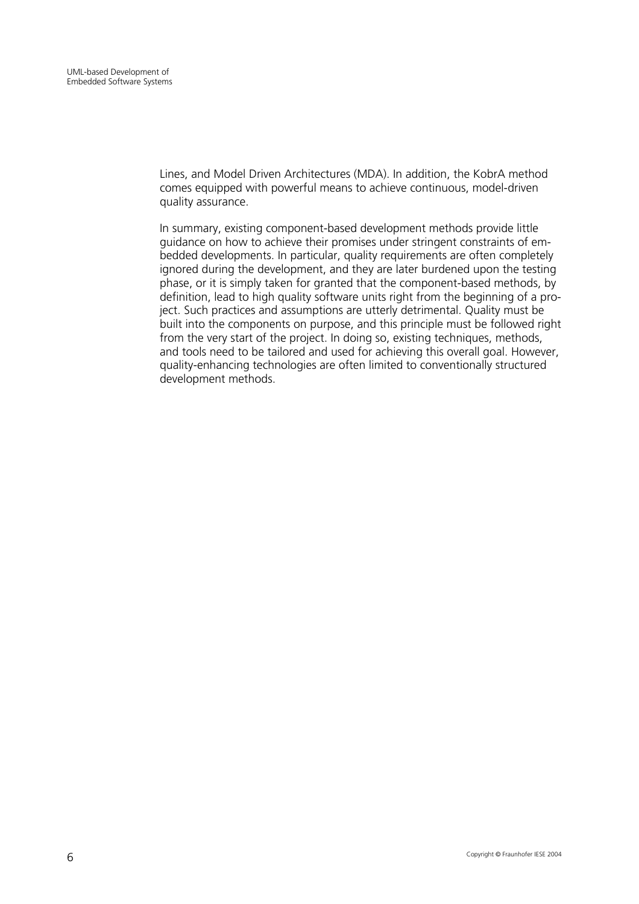Lines, and Model Driven Architectures (MDA). In addition, the KobrA method comes equipped with powerful means to achieve continuous, model-driven quality assurance.

In summary, existing component-based development methods provide little guidance on how to achieve their promises under stringent constraints of embedded developments. In particular, quality requirements are often completely ignored during the development, and they are later burdened upon the testing phase, or it is simply taken for granted that the component-based methods, by definition, lead to high quality software units right from the beginning of a project. Such practices and assumptions are utterly detrimental. Quality must be built into the components on purpose, and this principle must be followed right from the very start of the project. In doing so, existing techniques, methods, and tools need to be tailored and used for achieving this overall goal. However, quality-enhancing technologies are often limited to conventionally structured development methods.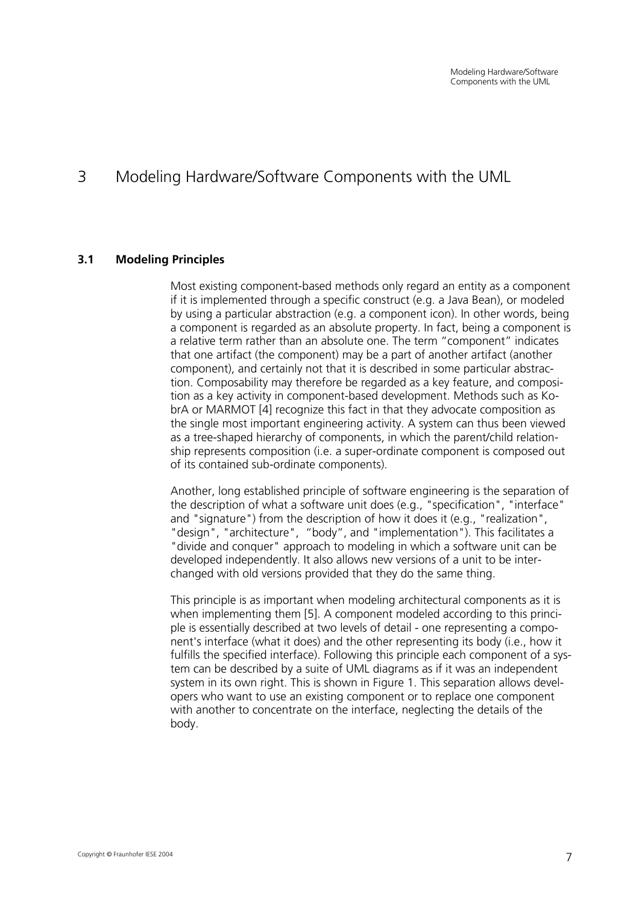## <span id="page-14-0"></span>3 Modeling Hardware/Software Components with the UML

### **3.1 Modeling Principles**

Most existing component-based methods only regard an entity as a component if it is implemented through a specific construct (e.g. a Java Bean), or modeled by using a particular abstraction (e.g. a component icon). In other words, being a component is regarded as an absolute property. In fact, being a component is a relative term rather than an absolute one. The term "component" indicates that one artifact (the component) may be a part of another artifact (another component), and certainly not that it is described in some particular abstraction. Composability may therefore be regarded as a key feature, and composition as a key activity in component-based development. Methods such as KobrA or MARMOT [[4\]](#page-27-12) recognize this fact in that they advocate composition as the single most important engineering activity. A system can thus been viewed as a tree-shaped hierarchy of components, in which the parent/child relationship represents composition (i.e. a super-ordinate component is composed out of its contained sub-ordinate components).

Another, long established principle of software engineering is the separation of the description of what a software unit does (e.g., "specification", "interface" and "signature") from the description of how it does it (e.g., "realization", "design", "architecture", "body", and "implementation"). This facilitates a "divide and conquer" approach to modeling in which a software unit can be developed independently. It also allows new versions of a unit to be interchanged with old versions provided that they do the same thing.

This principle is as important when modeling architectural components as it is when implementing them [[5\]](#page-27-13). A component modeled according to this principle is essentially described at two levels of detail - one representing a component's interface (what it does) and the other representing its body (i.e., how it fulfills the specified interface). Following this principle each component of a system can be described by a suite of UML diagrams as if it was an independent system in its own right. This is shown in [Figure 1.](#page-15-1) This separation allows developers who want to use an existing component or to replace one component with another to concentrate on the interface, neglecting the details of the body.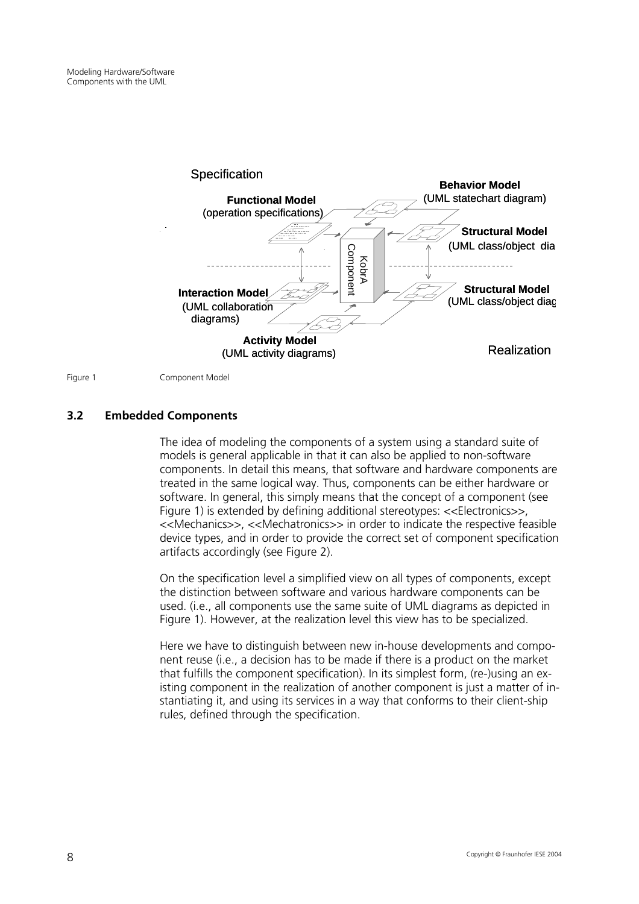<span id="page-15-1"></span><span id="page-15-0"></span>

Figure 1 Component Model

### **3.2 Embedded Components**

The idea of modeling the components of a system using a standard suite of models is general applicable in that it can also be applied to non-software components. In detail this means, that software and hardware components are treated in the same logical way. Thus, components can be either hardware or software. In general, this simply means that the concept of a component (see [Figure 1\)](#page-15-1) is extended by defining additional stereotypes: <<Electronics>>, <<Mechanics>>, <<Mechatronics>> in order to indicate the respective feasible device types, and in order to provide the correct set of component specification artifacts accordingly (see [Figure 2\)](#page-16-0).

On the specification level a simplified view on all types of components, except the distinction between software and various hardware components can be used. (i.e., all components use the same suite of UML diagrams as depicted in [Figure 1\).](#page-15-1) However, at the realization level this view has to be specialized.

Here we have to distinguish between new in-house developments and component reuse (i.e., a decision has to be made if there is a product on the market that fulfills the component specification). In its simplest form, (re-)using an existing component in the realization of another component is just a matter of instantiating it, and using its services in a way that conforms to their client-ship rules, defined through the specification.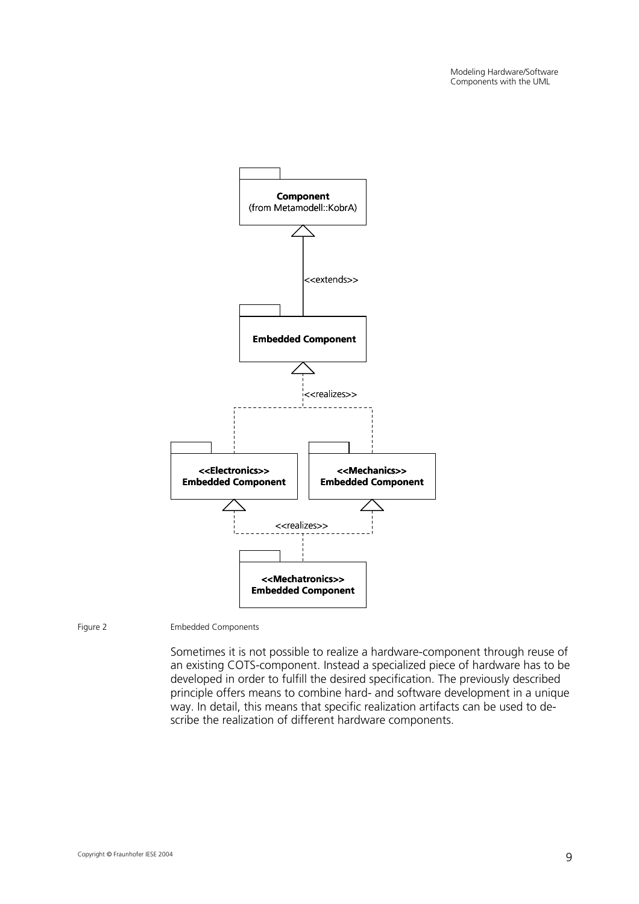<span id="page-16-0"></span>

Figure 2 Embedded Components

Sometimes it is not possible to realize a hardware-component through reuse of an existing COTS-component. Instead a specialized piece of hardware has to be developed in order to fulfill the desired specification. The previously described principle offers means to combine hard- and software development in a unique way. In detail, this means that specific realization artifacts can be used to describe the realization of different hardware components.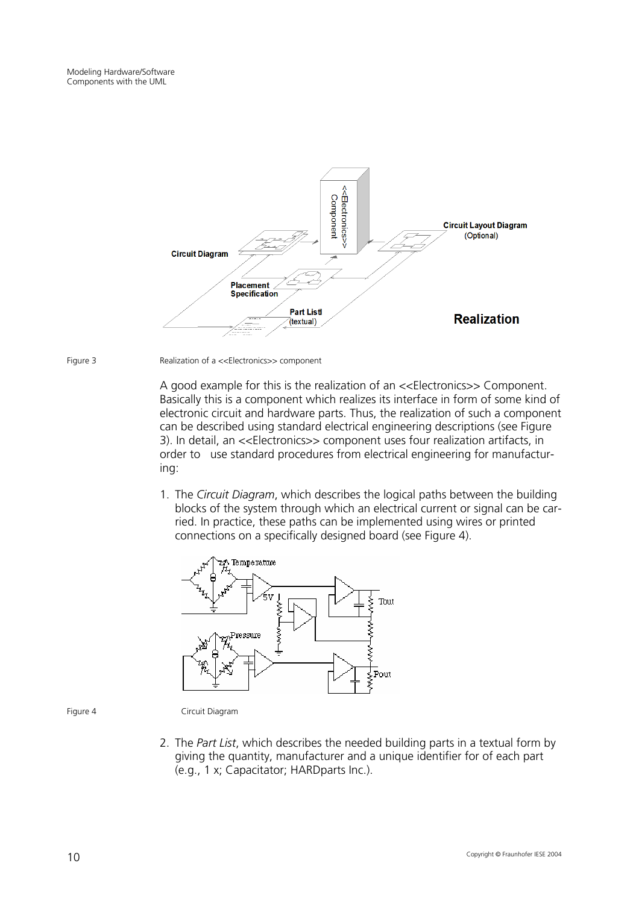<span id="page-17-0"></span>

Figure 3 Realization of a <<Electronics>> component

A good example for this is the realization of an <<Electronics>> Component. Basically this is a component which realizes its interface in form of some kind of electronic circuit and hardware parts. Thus, the realization of such a component can be described using standard electrical engineering descriptions (see [Figure](#page-17-0)  [3\)](#page-17-0). In detail, an <<Electronics>> component uses four realization artifacts, in order to use standard procedures from electrical engineering for manufacturing:

1. The *Circuit Diagram*, which describes the logical paths between the building blocks of the system through which an electrical current or signal can be carried. In practice, these paths can be implemented using wires or printed connections on a specifically designed board (see [Figure 4\)](#page-17-1).

<span id="page-17-1"></span>

Figure 4 Circuit Diagram

2. The *Part List*, which describes the needed building parts in a textual form by giving the quantity, manufacturer and a unique identifier for of each part (e.g., 1 x; Capacitator; HARDparts Inc.).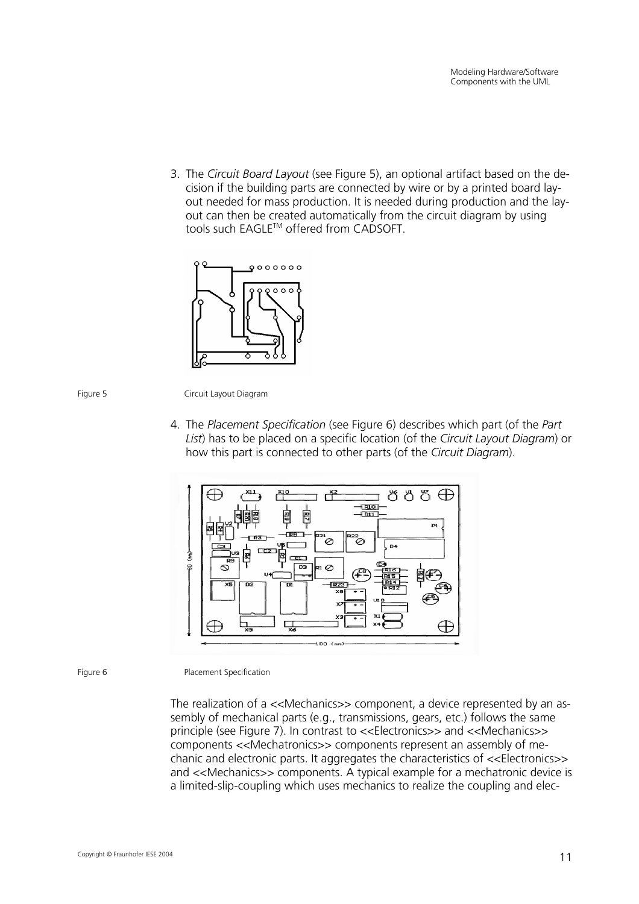3. The *Circuit Board Layout* (see [Figure 5\)](#page-18-0), an optional artifact based on the decision if the building parts are connected by wire or by a printed board layout needed for mass production. It is needed during production and the layout can then be created automatically from the circuit diagram by using tools such EAGLE™ offered from CADSOFT.

<span id="page-18-0"></span>



<span id="page-18-1"></span>Figure 5 Circuit Layout Diagram

4. The *Placement Specification* (see [Figure 6\)](#page-18-1) describes which part (of the *Part List*) has to be placed on a specific location (of the *Circuit Layout Diagram*) or how this part is connected to other parts (of the *Circuit Diagram*).



Figure 6 Placement Specification

The realization of a <<Mechanics>> component, a device represented by an assembly of mechanical parts (e.g., transmissions, gears, etc.) follows the same principle (see [Figure 7\)](#page-19-1). In contrast to <<Electronics>> and <<Mechanics>> components <<Mechatronics>> components represent an assembly of mechanic and electronic parts. It aggregates the characteristics of <<Electronics>> and <<Mechanics>> components. A typical example for a mechatronic device is a limited-slip-coupling which uses mechanics to realize the coupling and elec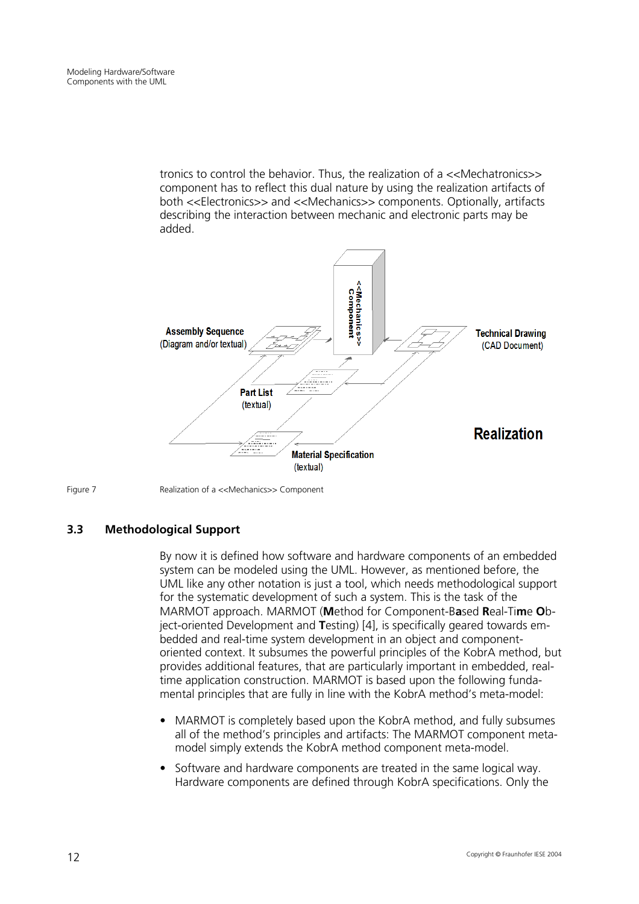<span id="page-19-0"></span>tronics to control the behavior. Thus, the realization of a <<Mechatronics>> component has to reflect this dual nature by using the realization artifacts of both <<Electronics>> and <<Mechanics>> components. Optionally, artifacts describing the interaction between mechanic and electronic parts may be added.

<span id="page-19-1"></span>



Figure 7 Realization of a <<Mechanics>> Component

### **3.3 Methodological Support**

By now it is defined how software and hardware components of an embedded system can be modeled using the UML. However, as mentioned before, the UML like any other notation is just a tool, which needs methodological support for the systematic development of such a system. This is the task of the MARMOT approach. MARMOT (**M**ethod for Component-B**a**sed **R**eal-Ti**m**e **O**bject-oriented Development and **T**esting) [[4\]](#page-27-12), is specifically geared towards embedded and real-time system development in an object and componentoriented context. It subsumes the powerful principles of the KobrA method, but provides additional features, that are particularly important in embedded, realtime application construction. MARMOT is based upon the following fundamental principles that are fully in line with the KobrA method's meta-model:

- MARMOT is completely based upon the KobrA method, and fully subsumes all of the method's principles and artifacts: The MARMOT component metamodel simply extends the KobrA method component meta-model.
- Software and hardware components are treated in the same logical way. Hardware components are defined through KobrA specifications. Only the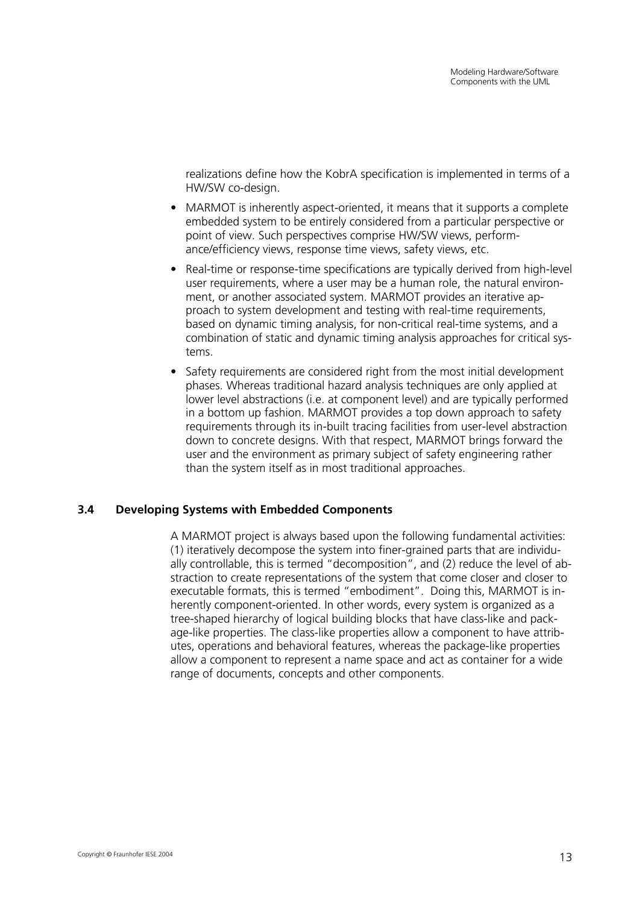<span id="page-20-0"></span>realizations define how the KobrA specification is implemented in terms of a HW/SW co-design.

- MARMOT is inherently aspect-oriented, it means that it supports a complete embedded system to be entirely considered from a particular perspective or point of view. Such perspectives comprise HW/SW views, performance/efficiency views, response time views, safety views, etc.
- Real-time or response-time specifications are typically derived from high-level user requirements, where a user may be a human role, the natural environment, or another associated system. MARMOT provides an iterative approach to system development and testing with real-time requirements, based on dynamic timing analysis, for non-critical real-time systems, and a combination of static and dynamic timing analysis approaches for critical systems.
- Safety requirements are considered right from the most initial development phases. Whereas traditional hazard analysis techniques are only applied at lower level abstractions (i.e. at component level) and are typically performed in a bottom up fashion. MARMOT provides a top down approach to safety requirements through its in-built tracing facilities from user-level abstraction down to concrete designs. With that respect, MARMOT brings forward the user and the environment as primary subject of safety engineering rather than the system itself as in most traditional approaches.

### **3.4 Developing Systems with Embedded Components**

A MARMOT project is always based upon the following fundamental activities: (1) iteratively decompose the system into finer-grained parts that are individually controllable, this is termed "decomposition", and (2) reduce the level of abstraction to create representations of the system that come closer and closer to executable formats, this is termed "embodiment". Doing this, MARMOT is inherently component-oriented. In other words, every system is organized as a tree-shaped hierarchy of logical building blocks that have class-like and package-like properties. The class-like properties allow a component to have attributes, operations and behavioral features, whereas the package-like properties allow a component to represent a name space and act as container for a wide range of documents, concepts and other components.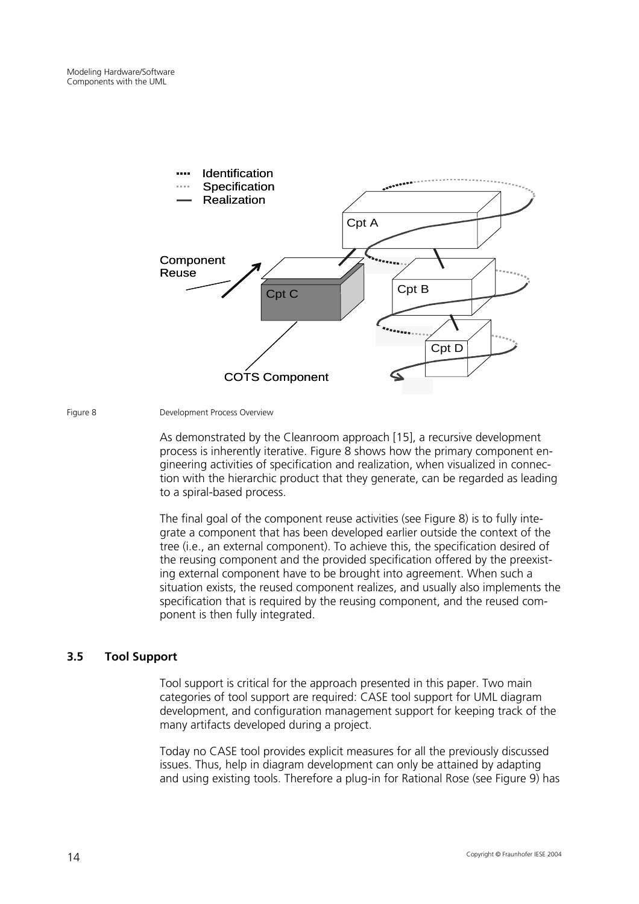<span id="page-21-1"></span><span id="page-21-0"></span>

Figure 8 Development Process Overview

As demonstrated by the Cleanroom approach [[15\]](#page-28-3), a recursive development process is inherently iterative. [Figure 8](#page-21-1) shows how the primary component engineering activities of specification and realization, when visualized in connection with the hierarchic product that they generate, can be regarded as leading to a spiral-based process.

The final goal of the component reuse activities (see [Figure 8\)](#page-21-1) is to fully integrate a component that has been developed earlier outside the context of the tree (i.e., an external component). To achieve this, the specification desired of the reusing component and the provided specification offered by the preexisting external component have to be brought into agreement. When such a situation exists, the reused component realizes, and usually also implements the specification that is required by the reusing component, and the reused component is then fully integrated.

### **3.5 Tool Support**

Tool support is critical for the approach presented in this paper. Two main categories of tool support are required: CASE tool support for UML diagram development, and configuration management support for keeping track of the many artifacts developed during a project.

Today no CASE tool provides explicit measures for all the previously discussed issues. Thus, help in diagram development can only be attained by adapting and using existing tools. Therefore a plug-in for Rational Rose (see [Figure 9\)](#page-22-0) has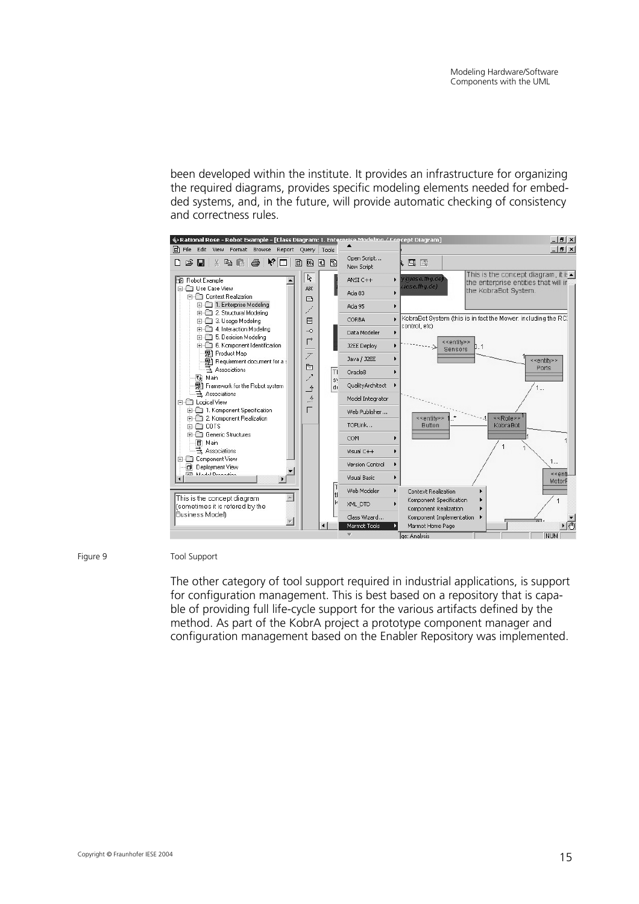been developed within the institute. It provides an infrastructure for organizing the required diagrams, provides specific modeling elements needed for embedded systems, and, in the future, will provide automatic checking of consistency and correctness rules.

<span id="page-22-0"></span>

Figure 9 Tool Support

The other category of tool support required in industrial applications, is support for configuration management. This is best based on a repository that is capable of providing full life-cycle support for the various artifacts defined by the method. As part of the KobrA project a prototype component manager and configuration management based on the Enabler Repository was implemented.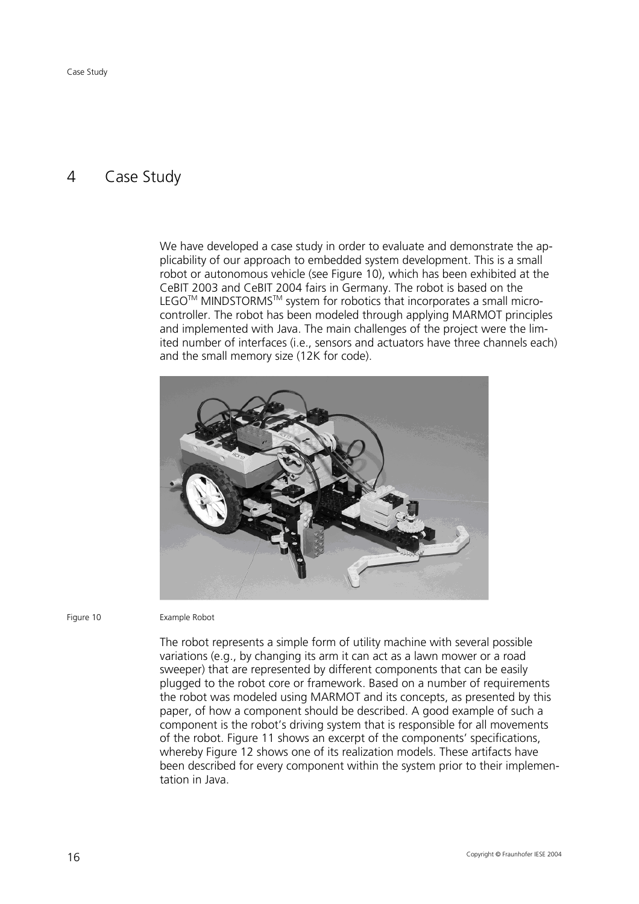## <span id="page-23-0"></span>4 Case Study

We have developed a case study in order to evaluate and demonstrate the applicability of our approach to embedded system development. This is a small robot or autonomous vehicle (see [Figure 10\)](#page-23-1), which has been exhibited at the CeBIT 2003 and CeBIT 2004 fairs in Germany. The robot is based on the LEGO™ MINDSTORMS™ system for robotics that incorporates a small microcontroller. The robot has been modeled through applying MARMOT principles and implemented with Java. The main challenges of the project were the limited number of interfaces (i.e., sensors and actuators have three channels each) and the small memory size (12K for code).

<span id="page-23-1"></span>

Figure 10 Example Robot

The robot represents a simple form of utility machine with several possible variations (e.g., by changing its arm it can act as a lawn mower or a road sweeper) that are represented by different components that can be easily plugged to the robot core or framework. Based on a number of requirements the robot was modeled using MARMOT and its concepts, as presented by this paper, of how a component should be described. A good example of such a component is the robot's driving system that is responsible for all movements of the robot. [Figure 11](#page-24-0) shows an excerpt of the components' specifications, whereby [Figure 12](#page-25-0) shows one of its realization models. These artifacts have been described for every component within the system prior to their implementation in Java.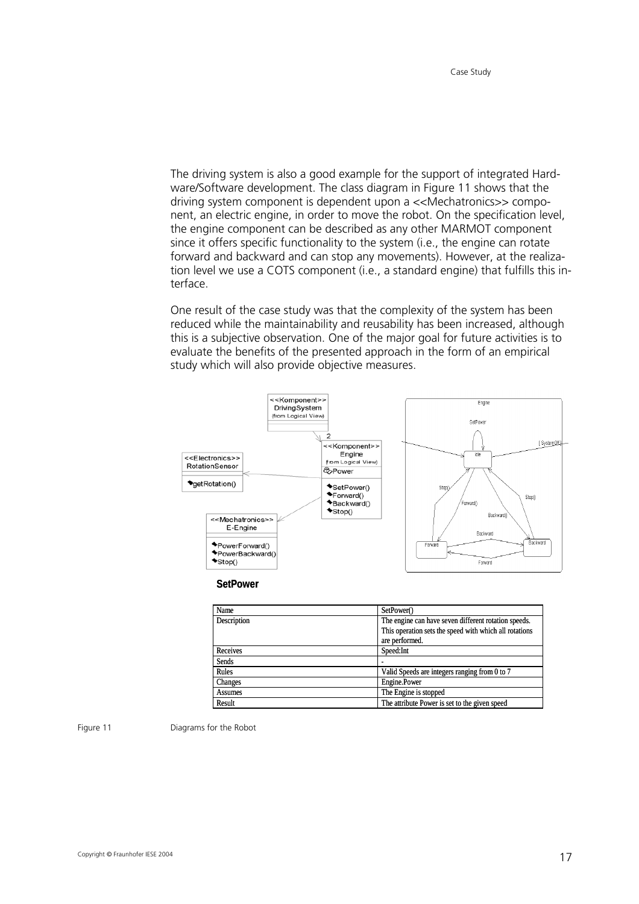The driving system is also a good example for the support of integrated Hardware/Software development. The class diagram in [Figure 11](#page-24-0) shows that the driving system component is dependent upon a <<Mechatronics>> component, an electric engine, in order to move the robot. On the specification level, the engine component can be described as any other MARMOT component since it offers specific functionality to the system (i.e., the engine can rotate forward and backward and can stop any movements). However, at the realization level we use a COTS component (i.e., a standard engine) that fulfills this interface.

One result of the case study was that the complexity of the system has been reduced while the maintainability and reusability has been increased, although this is a subjective observation. One of the major goal for future activities is to evaluate the benefits of the presented approach in the form of an empirical study which will also provide objective measures.

<span id="page-24-0"></span>

**SetPower**

| Name           | SetPower()                                             |
|----------------|--------------------------------------------------------|
| Description    | The engine can have seven different rotation speeds.   |
|                | This operation sets the speed with which all rotations |
|                | are performed.                                         |
| Receives       | Speed:Int                                              |
| Sends          |                                                        |
| Rules          | Valid Speeds are integers ranging from 0 to 7          |
| Changes        | Engine.Power                                           |
| <b>Assumes</b> | The Engine is stopped                                  |
| Result         | The attribute Power is set to the given speed          |

Figure 11 Diagrams for the Robot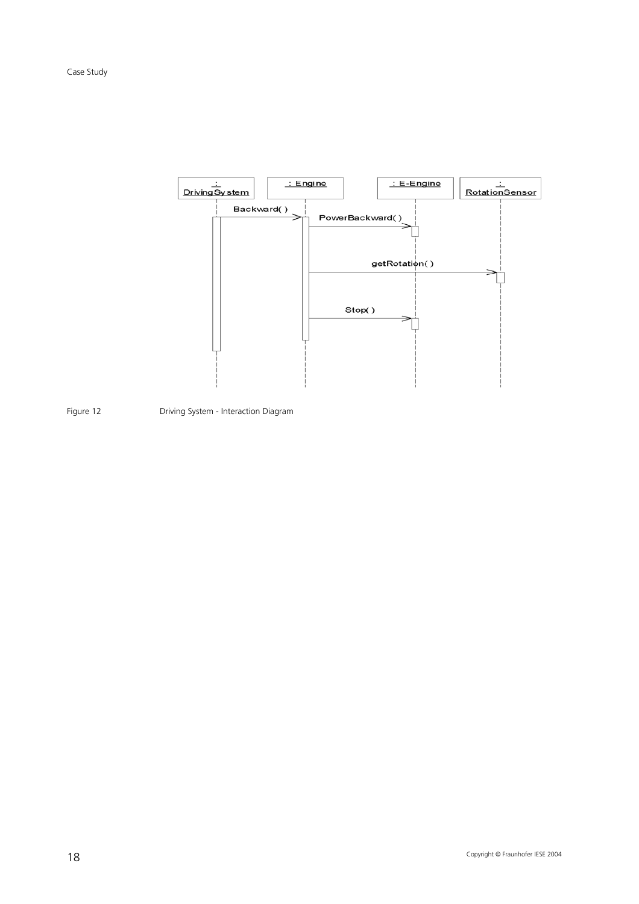<span id="page-25-0"></span>

Figure 12 Driving System - Interaction Diagram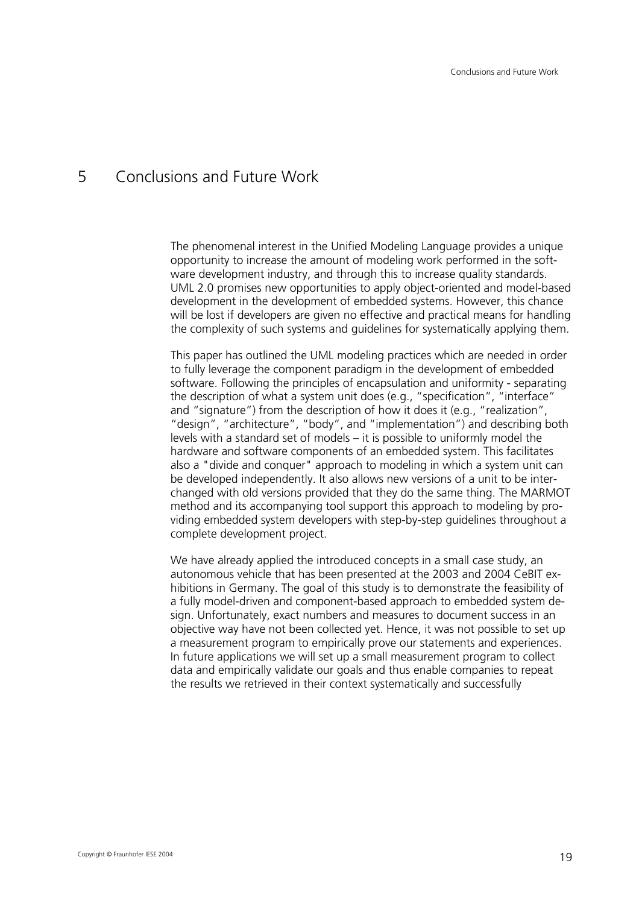## <span id="page-26-0"></span>5 Conclusions and Future Work

The phenomenal interest in the Unified Modeling Language provides a unique opportunity to increase the amount of modeling work performed in the software development industry, and through this to increase quality standards. UML 2.0 promises new opportunities to apply object-oriented and model-based development in the development of embedded systems. However, this chance will be lost if developers are given no effective and practical means for handling the complexity of such systems and guidelines for systematically applying them.

This paper has outlined the UML modeling practices which are needed in order to fully leverage the component paradigm in the development of embedded software. Following the principles of encapsulation and uniformity - separating the description of what a system unit does (e.g., "specification", "interface" and "signature") from the description of how it does it (e.g., "realization", "design", "architecture", "body", and "implementation") and describing both levels with a standard set of models – it is possible to uniformly model the hardware and software components of an embedded system. This facilitates also a "divide and conquer" approach to modeling in which a system unit can be developed independently. It also allows new versions of a unit to be interchanged with old versions provided that they do the same thing. The MARMOT method and its accompanying tool support this approach to modeling by providing embedded system developers with step-by-step guidelines throughout a complete development project.

We have already applied the introduced concepts in a small case study, an autonomous vehicle that has been presented at the 2003 and 2004 CeBIT exhibitions in Germany. The goal of this study is to demonstrate the feasibility of a fully model-driven and component-based approach to embedded system design. Unfortunately, exact numbers and measures to document success in an objective way have not been collected yet. Hence, it was not possible to set up a measurement program to empirically prove our statements and experiences. In future applications we will set up a small measurement program to collect data and empirically validate our goals and thus enable companies to repeat the results we retrieved in their context systematically and successfully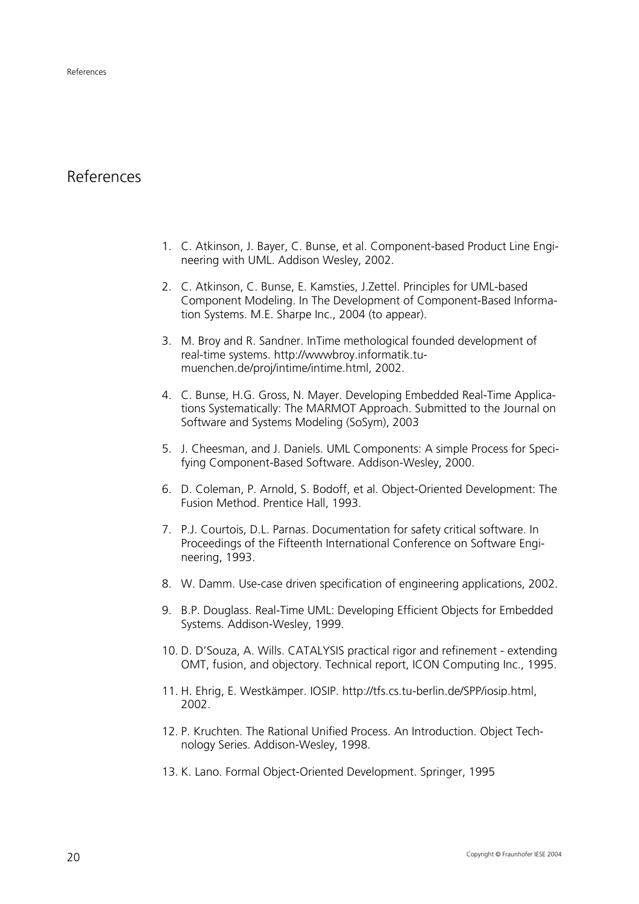## <span id="page-27-0"></span>References

- <span id="page-27-2"></span>1. C. Atkinson, J. Bayer, C. Bunse, et al. Component-based Product Line Engineering with UML. Addison Wesley, 2002.
- <span id="page-27-3"></span>2. C. Atkinson, C. Bunse, E. Kamsties, J.Zettel. Principles for UML-based Component Modeling. In The Development of Component-Based Information Systems. M.E. Sharpe Inc., 2004 (to appear).
- <span id="page-27-8"></span>3. M. Broy and R. Sandner. InTime methological founded development of real-time systems. http://wwwbroy.informatik.tumuenchen.de/proj/intime/intime.html, 2002.
- <span id="page-27-12"></span>4. C. Bunse, H.G. Gross, N. Mayer. Developing Embedded Real-Time Applications Systematically: The MARMOT Approach. Submitted to the Journal on Software and Systems Modeling (SoSym), 2003
- <span id="page-27-13"></span>5. J. Cheesman, and J. Daniels. UML Components: A simple Process for Specifying Component-Based Software. Addison-Wesley, 2000.
- <span id="page-27-9"></span>6. D. Coleman, P. Arnold, S. Bodoff, et al. Object-Oriented Development: The Fusion Method. Prentice Hall, 1993.
- <span id="page-27-5"></span>7. P.J. Courtois, D.L. Parnas. Documentation for safety critical software. In Proceedings of the Fifteenth International Conference on Software Engineering, 1993.
- <span id="page-27-7"></span>8. W. Damm. Use-case driven specification of engineering applications, 2002.
- <span id="page-27-1"></span>9. B.P. Douglass. Real-Time UML: Developing Efficient Objects for Embedded Systems. Addison-Wesley, 1999.
- <span id="page-27-10"></span>10. D. D'Souza, A. Wills. CATALYSIS practical rigor and refinement - extending OMT, fusion, and objectory. Technical report, ICON Computing Inc., 1995.
- <span id="page-27-6"></span>11. H. Ehrig, E. Westkämper. IOSIP. http://tfs.cs.tu-berlin.de/SPP/iosip.html, 2002.
- <span id="page-27-11"></span>12. P. Kruchten. The Rational Unified Process. An Introduction. Object Technology Series. Addison-Wesley, 1998.
- <span id="page-27-4"></span>13. K. Lano. Formal Object-Oriented Development. Springer, 1995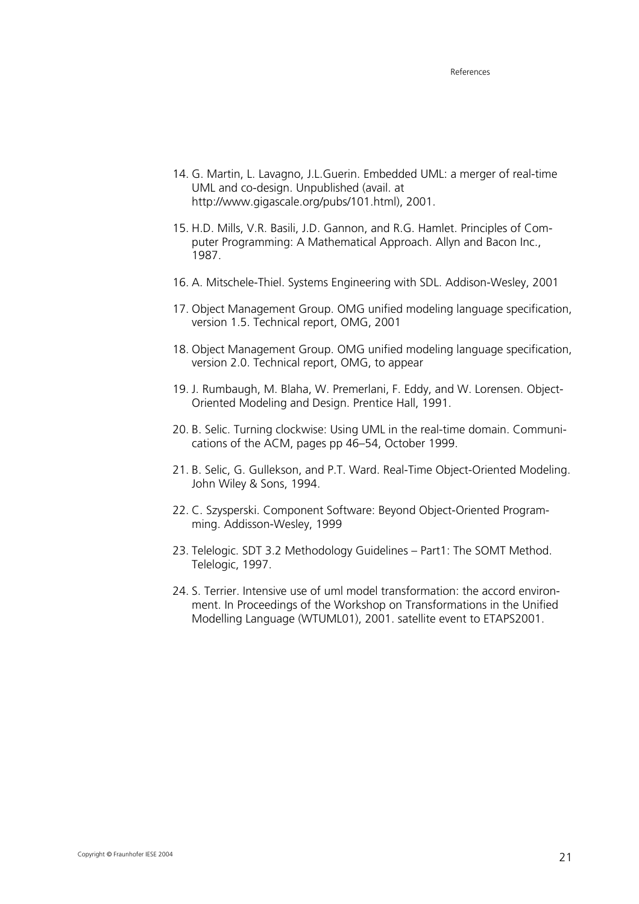- <span id="page-28-0"></span>14. G. Martin, L. Lavagno, J.L.Guerin. Embedded UML: a merger of real-time UML and co-design. Unpublished (avail. at http://www.gigascale.org/pubs/101.html), 2001.
- <span id="page-28-3"></span>15. H.D. Mills, V.R. Basili, J.D. Gannon, and R.G. Hamlet. Principles of Computer Programming: A Mathematical Approach. Allyn and Bacon Inc., 1987.
- <span id="page-28-5"></span>16. A. Mitschele-Thiel. Systems Engineering with SDL. Addison-Wesley, 2001
- <span id="page-28-4"></span>17. Object Management Group. OMG unified modeling language specification, version 1.5. Technical report, OMG, 2001
- <span id="page-28-7"></span>18. Object Management Group. OMG unified modeling language specification, version 2.0. Technical report, OMG, to appear
- <span id="page-28-9"></span>19. J. Rumbaugh, M. Blaha, W. Premerlani, F. Eddy, and W. Lorensen. Object-Oriented Modeling and Design. Prentice Hall, 1991.
- <span id="page-28-1"></span>20. B. Selic. Turning clockwise: Using UML in the real-time domain. Communications of the ACM, pages pp 46–54, October 1999.
- <span id="page-28-2"></span>21. B. Selic, G. Gullekson, and P.T. Ward. Real-Time Object-Oriented Modeling. John Wiley & Sons, 1994.
- <span id="page-28-8"></span>22. C. Szysperski. Component Software: Beyond Object-Oriented Programming. Addisson-Wesley, 1999
- <span id="page-28-6"></span>23. Telelogic. SDT 3.2 Methodology Guidelines – Part1: The SOMT Method. Telelogic, 1997.
- <span id="page-28-10"></span>24. S. Terrier. Intensive use of uml model transformation: the accord environment. In Proceedings of the Workshop on Transformations in the Unified Modelling Language (WTUML01), 2001. satellite event to ETAPS2001.